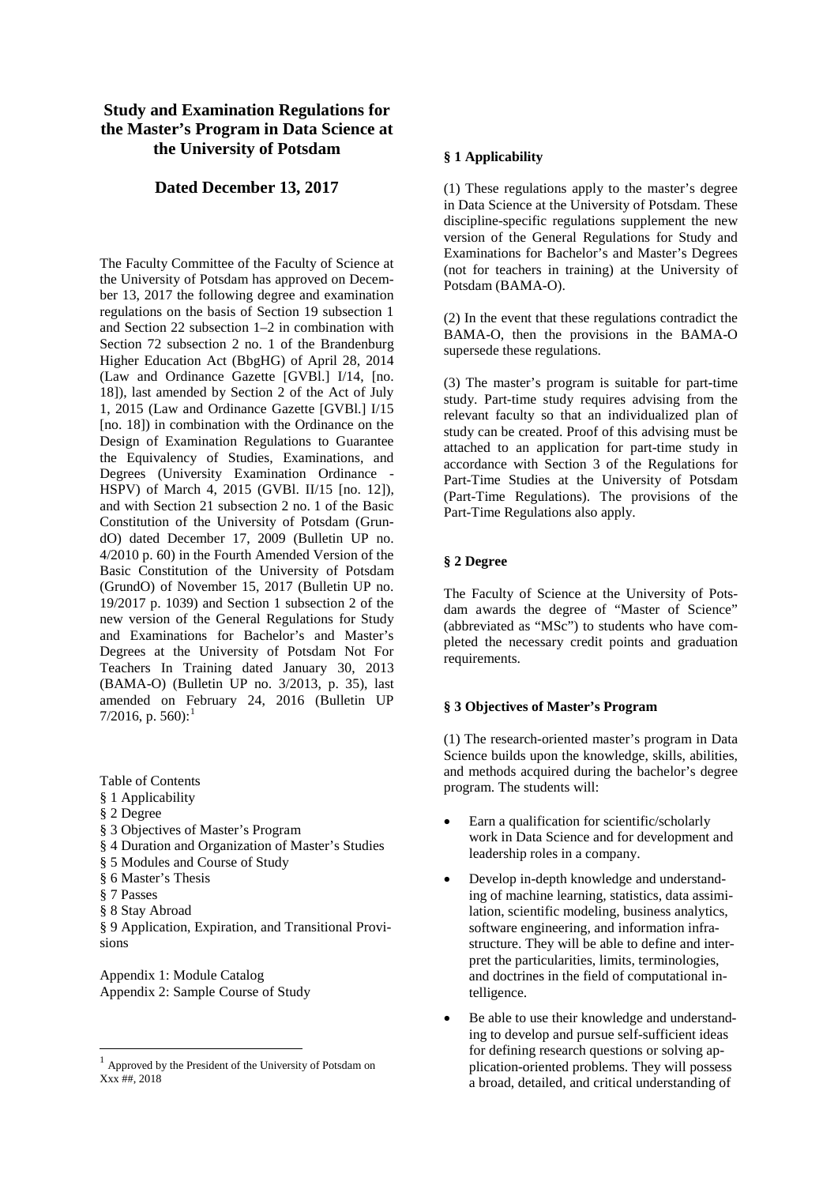# **Study and Examination Regulations for the Master's Program in Data Science at the University of Potsdam**

## **Dated December 13, 2017**

The Faculty Committee of the Faculty of Science at the University of Potsdam has approved on December 13, 2017 the following degree and examination regulations on the basis of Section 19 subsection 1 and Section 22 subsection 1–2 in combination with Section 72 subsection 2 no. 1 of the Brandenburg Higher Education Act (BbgHG) of April 28, 2014 (Law and Ordinance Gazette [GVBl.] I/14, [no. 18]), last amended by Section 2 of the Act of July 1, 2015 (Law and Ordinance Gazette [GVBl.] I/15 [no. 18]) in combination with the Ordinance on the Design of Examination Regulations to Guarantee the Equivalency of Studies, Examinations, and Degrees (University Examination Ordinance - HSPV) of March 4, 2015 (GVBl. II/15 [no. 12]), and with Section 21 subsection 2 no. 1 of the Basic Constitution of the University of Potsdam (GrundO) dated December 17, 2009 (Bulletin UP no. 4/2010 p. 60) in the Fourth Amended Version of the Basic Constitution of the University of Potsdam (GrundO) of November 15, 2017 (Bulletin UP no. 19/2017 p. 1039) and Section 1 subsection 2 of the new version of the General Regulations for Study and Examinations for Bachelor's and Master's Degrees at the University of Potsdam Not For Teachers In Training dated January 30, 2013 (BAMA-O) (Bulletin UP no. 3/2013, p. 35), last amended on February 24, 2016 (Bulletin UP 7/20[1](#page-0-0)6, p. 560):<sup>1</sup>

- Table of Contents
- § 1 Applicability
- § 2 Degree
- § 3 Objectives of Master's Program
- § 4 Duration and Organization of Master's Studies
- § 5 Modules and Course of Study
- § 6 Master's Thesis
- § 7 Passes
- § 8 Stay Abroad

§ 9 Application, Expiration, and Transitional Provisions

Appendix 1: Module Catalog Appendix 2: Sample Course of Study

#### **§ 1 Applicability**

(1) These regulations apply to the master's degree in Data Science at the University of Potsdam. These discipline-specific regulations supplement the new version of the General Regulations for Study and Examinations for Bachelor's and Master's Degrees (not for teachers in training) at the University of Potsdam (BAMA-O).

(2) In the event that these regulations contradict the BAMA-O, then the provisions in the BAMA-O supersede these regulations.

(3) The master's program is suitable for part-time study. Part-time study requires advising from the relevant faculty so that an individualized plan of study can be created. Proof of this advising must be attached to an application for part-time study in accordance with Section 3 of the Regulations for Part-Time Studies at the University of Potsdam (Part-Time Regulations). The provisions of the Part-Time Regulations also apply.

### **§ 2 Degree**

The Faculty of Science at the University of Potsdam awards the degree of "Master of Science" (abbreviated as "MSc") to students who have completed the necessary credit points and graduation requirements.

#### **§ 3 Objectives of Master's Program**

(1) The research-oriented master's program in Data Science builds upon the knowledge, skills, abilities, and methods acquired during the bachelor's degree program. The students will:

- Earn a qualification for scientific/scholarly work in Data Science and for development and leadership roles in a company.
- Develop in-depth knowledge and understanding of machine learning, statistics, data assimilation, scientific modeling, business analytics, software engineering, and information infrastructure. They will be able to define and interpret the particularities, limits, terminologies, and doctrines in the field of computational intelligence.
- Be able to use their knowledge and understanding to develop and pursue self-sufficient ideas for defining research questions or solving application-oriented problems. They will possess a broad, detailed, and critical understanding of

<span id="page-0-0"></span> <sup>1</sup> Approved by the President of the University of Potsdam on Xxx ##, 2018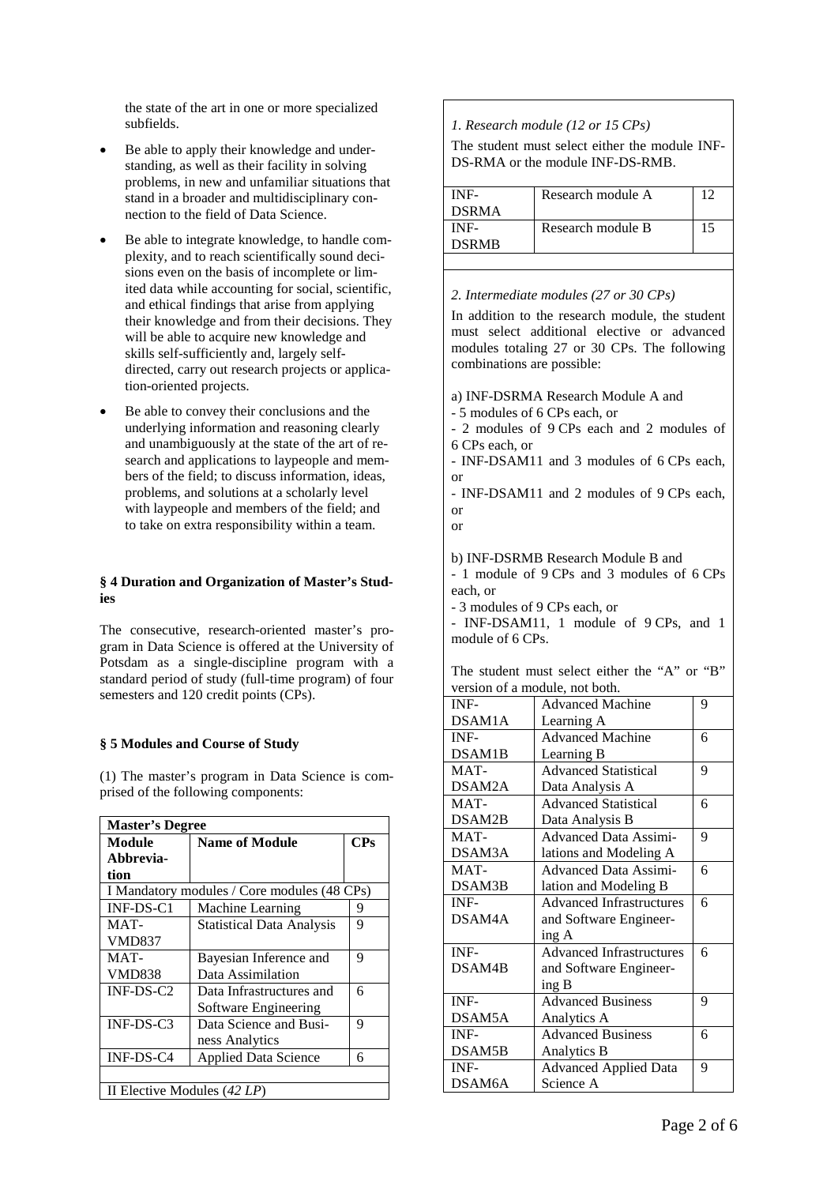the state of the art in one or more specialized subfields.

- Be able to apply their knowledge and understanding, as well as their facility in solving problems, in new and unfamiliar situations that stand in a broader and multidisciplinary connection to the field of Data Science.
- Be able to integrate knowledge, to handle complexity, and to reach scientifically sound decisions even on the basis of incomplete or limited data while accounting for social, scientific, and ethical findings that arise from applying their knowledge and from their decisions. They will be able to acquire new knowledge and skills self-sufficiently and, largely selfdirected, carry out research projects or application-oriented projects.
- Be able to convey their conclusions and the underlying information and reasoning clearly and unambiguously at the state of the art of research and applications to laypeople and members of the field; to discuss information, ideas, problems, and solutions at a scholarly level with laypeople and members of the field; and to take on extra responsibility within a team.

### **§ 4 Duration and Organization of Master's Studies**

The consecutive, research-oriented master's program in Data Science is offered at the University of Potsdam as a single-discipline program with a standard period of study (full-time program) of four semesters and 120 credit points (CPs).

### **§ 5 Modules and Course of Study**

(1) The master's program in Data Science is comprised of the following components:

| <b>Master's Degree</b>                        |                                  |   |  |  |
|-----------------------------------------------|----------------------------------|---|--|--|
| <b>Name of Module</b><br>$\bf{CPs}$<br>Module |                                  |   |  |  |
| Abbrevia-                                     |                                  |   |  |  |
| tion                                          |                                  |   |  |  |
| I Mandatory modules / Core modules (48 CPs)   |                                  |   |  |  |
| $INF-DS-C1$                                   | Machine Learning                 | 9 |  |  |
| MAT-                                          | <b>Statistical Data Analysis</b> | 9 |  |  |
| <b>VMD837</b>                                 |                                  |   |  |  |
| MAT-                                          | Bayesian Inference and           | 9 |  |  |
| <b>VMD838</b>                                 | Data Assimilation                |   |  |  |
| $INF-DS-C2$                                   | Data Infrastructures and         | 6 |  |  |
|                                               | Software Engineering             |   |  |  |
| $INF-DS-C3$                                   | Data Science and Busi-           | 9 |  |  |
|                                               | ness Analytics                   |   |  |  |
| INF-DS-C4                                     | <b>Applied Data Science</b>      | 6 |  |  |
|                                               |                                  |   |  |  |
|                                               | II Elective Modules (42 LP)      |   |  |  |

*1. Research module (12 or 15 CPs)*

The student must select either the module INF-DS-RMA or the module INF-DS-RMB.

| INF-         | Research module A |    |
|--------------|-------------------|----|
| <b>DSRMA</b> |                   |    |
| INF-         | Research module B | 15 |
| <b>DSRMB</b> |                   |    |
|              |                   |    |

*2. Intermediate modules (27 or 30 CPs)*

In addition to the research module, the student must select additional elective or advanced modules totaling 27 or 30 CPs. The following combinations are possible:

a) INF-DSRMA Research Module A and - 5 modules of 6 CPs each, or

- 2 modules of 9 CPs each and 2 modules of 6 CPs each, or

- INF-DSAM11 and 3 modules of 6 CPs each, or

- INF-DSAM11 and 2 modules of 9 CPs each, or

or

b) INF-DSRMB Research Module B and

- 1 module of 9 CPs and 3 modules of 6 CPs each, or

- 3 modules of 9 CPs each, or

- INF-DSAM11, 1 module of 9 CPs, and 1 module of 6 CPs.

The student must select either the "A" or "B" version of a module, not both.

| INF-   | <b>Advanced Machine</b>         | 9 |
|--------|---------------------------------|---|
| DSAM1A | Learning A                      |   |
| INF-   | <b>Advanced Machine</b>         | 6 |
| DSAM1B | Learning B                      |   |
| MAT-   | <b>Advanced Statistical</b>     | 9 |
| DSAM2A | Data Analysis A                 |   |
| MAT-   | <b>Advanced Statistical</b>     | 6 |
| DSAM2B | Data Analysis B                 |   |
| MAT-   | <b>Advanced Data Assimi-</b>    | 9 |
| DSAM3A | lations and Modeling A          |   |
| MAT-   | <b>Advanced Data Assimi-</b>    | 6 |
| DSAM3B | lation and Modeling B           |   |
| INF-   | <b>Advanced Infrastructures</b> | 6 |
| DSAM4A | and Software Engineer-          |   |
|        | ing A                           |   |
| INF-   | <b>Advanced Infrastructures</b> | 6 |
| DSAM4B | and Software Engineer-          |   |
|        | ing B                           |   |
| INF-   | <b>Advanced Business</b>        | 9 |
| DSAM5A | Analytics A                     |   |
| INF-   | <b>Advanced Business</b>        | 6 |
| DSAM5B | Analytics B                     |   |
| INF-   | <b>Advanced Applied Data</b>    | 9 |
| DSAM6A | Science A                       |   |
|        |                                 |   |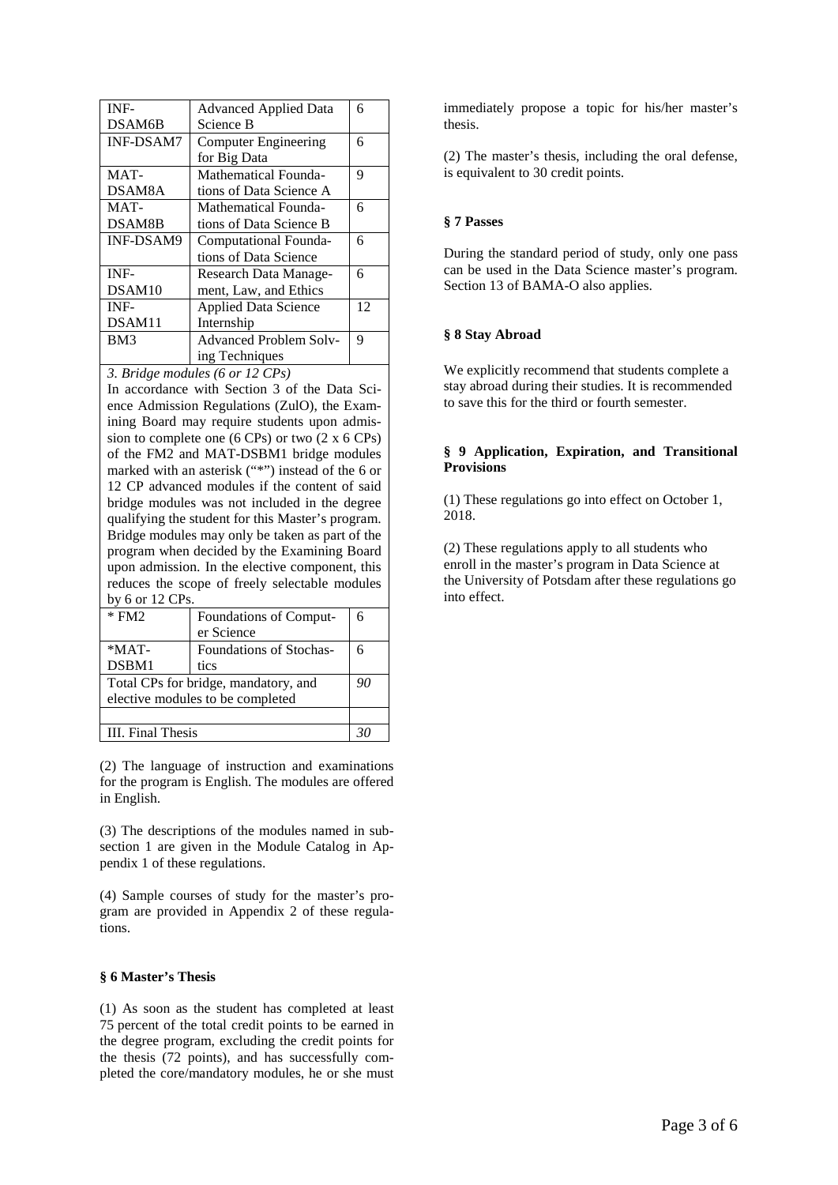| INF-             | <b>Advanced Applied Data</b>  | 6  |
|------------------|-------------------------------|----|
| DSAM6B           | Science B                     |    |
| <b>INF-DSAM7</b> | Computer Engineering          | 6  |
|                  | for Big Data                  |    |
| MAT-             | Mathematical Founda-          | 9  |
| DSAM8A           | tions of Data Science A       |    |
| $MAT -$          | Mathematical Founda-          | 6  |
| DSAM8B           | tions of Data Science B       |    |
| <b>INF-DSAM9</b> | Computational Founda-         | 6  |
|                  | tions of Data Science         |    |
| INF-             | Research Data Manage-         | 6  |
| DSAM10           | ment, Law, and Ethics         |    |
| INF-             | <b>Applied Data Science</b>   | 12 |
| DSAM11           | Internship                    |    |
| BM3              | <b>Advanced Problem Solv-</b> | 9  |
|                  | ing Techniques                |    |

*3. Bridge modules (6 or 12 CPs)*

In accordance with Section 3 of the Data Science Admission Regulations (ZulO), the Examining Board may require students upon admission to complete one (6 CPs) or two (2 x 6 CPs) of the FM2 and MAT-DSBM1 bridge modules marked with an asterisk ("\*") instead of the 6 or 12 CP advanced modules if the content of said bridge modules was not included in the degree qualifying the student for this Master's program. Bridge modules may only be taken as part of the program when decided by the Examining Board upon admission. In the elective component, this reduces the scope of freely selectable modules by 6 or 12 CPs.

| $*$ FM2                              | Foundations of Comput-  | 6 |
|--------------------------------------|-------------------------|---|
|                                      | er Science              |   |
| $*MAT-$                              | Foundations of Stochas- | 6 |
| DSBM1                                | tics                    |   |
| Total CPs for bridge, mandatory, and |                         |   |
| elective modules to be completed     |                         |   |
|                                      |                         |   |
| <b>III.</b> Final Thesis             |                         |   |

(2) The language of instruction and examinations for the program is English. The modules are offered in English.

(3) The descriptions of the modules named in subsection 1 are given in the Module Catalog in Appendix 1 of these regulations.

(4) Sample courses of study for the master's program are provided in Appendix 2 of these regulations.

### **§ 6 Master's Thesis**

(1) As soon as the student has completed at least 75 percent of the total credit points to be earned in the degree program, excluding the credit points for the thesis (72 points), and has successfully completed the core/mandatory modules, he or she must

immediately propose a topic for his/her master's thesis.

(2) The master's thesis, including the oral defense, is equivalent to 30 credit points.

#### **§ 7 Passes**

During the standard period of study, only one pass can be used in the Data Science master's program. Section 13 of BAMA-O also applies.

#### **§ 8 Stay Abroad**

We explicitly recommend that students complete a stay abroad during their studies. It is recommended to save this for the third or fourth semester.

### **§ 9 Application, Expiration, and Transitional Provisions**

(1) These regulations go into effect on October 1, 2018.

(2) These regulations apply to all students who enroll in the master's program in Data Science at the University of Potsdam after these regulations go into effect.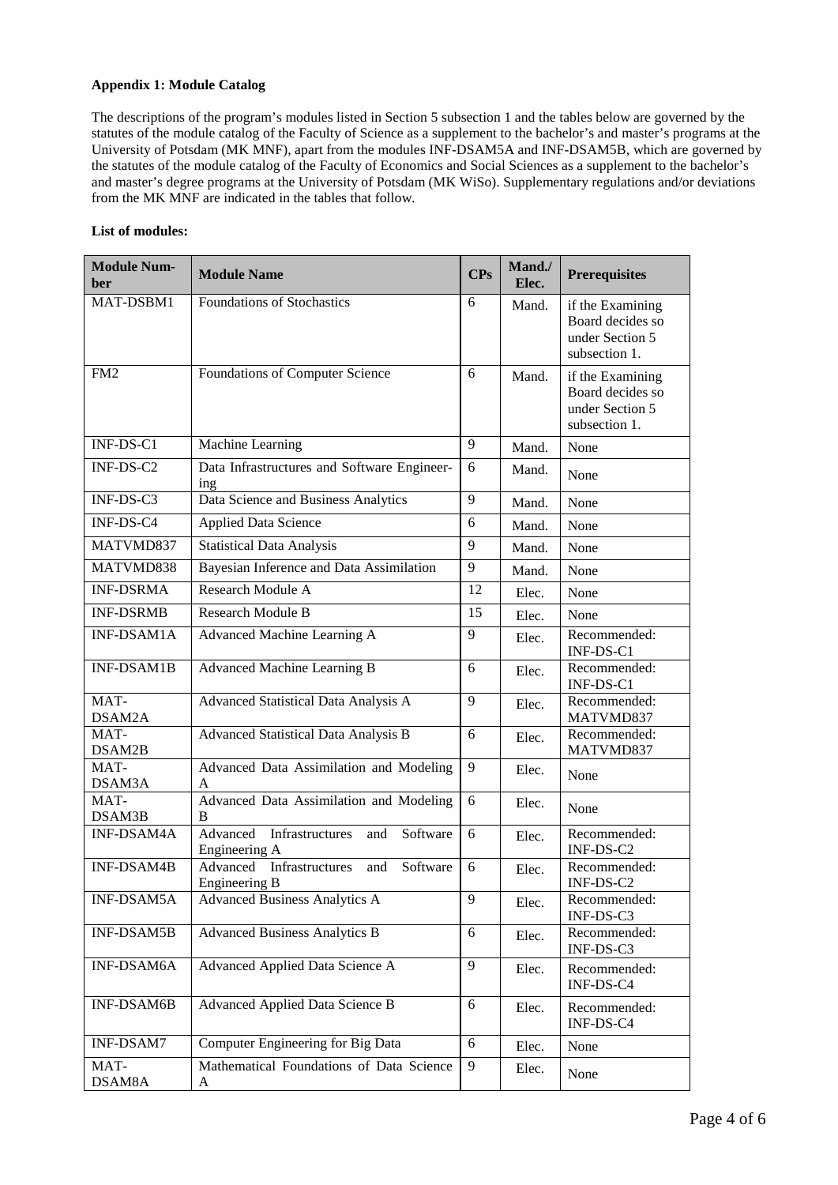## **Appendix 1: Module Catalog**

The descriptions of the program's modules listed in Section 5 subsection 1 and the tables below are governed by the statutes of the module catalog of the Faculty of Science as a supplement to the bachelor's and master's programs at the University of Potsdam (MK MNF), apart from the modules INF-DSAM5A and INF-DSAM5B, which are governed by the statutes of the module catalog of the Faculty of Economics and Social Sciences as a supplement to the bachelor's and master's degree programs at the University of Potsdam (MK WiSo). Supplementary regulations and/or deviations from the MK MNF are indicated in the tables that follow.

## **List of modules:**

| <b>Module Num-</b><br>ber | <b>Module Name</b>                                              | <b>CPs</b> | Mand./<br>Elec. | <b>Prerequisites</b>                                                     |
|---------------------------|-----------------------------------------------------------------|------------|-----------------|--------------------------------------------------------------------------|
| MAT-DSBM1                 | Foundations of Stochastics                                      | 6          | Mand.           | if the Examining<br>Board decides so<br>under Section 5<br>subsection 1. |
| FM <sub>2</sub>           | Foundations of Computer Science                                 | 6          | Mand.           | if the Examining<br>Board decides so<br>under Section 5<br>subsection 1. |
| INF-DS-C1                 | Machine Learning                                                | 9          | Mand.           | None                                                                     |
| INF-DS-C2                 | Data Infrastructures and Software Engineer-<br>ing              | 6          | Mand.           | None                                                                     |
| INF-DS-C3                 | Data Science and Business Analytics                             | 9          | Mand.           | None                                                                     |
| INF-DS-C4                 | <b>Applied Data Science</b>                                     | 6          | Mand.           | None                                                                     |
| MATVMD837                 | <b>Statistical Data Analysis</b>                                | 9          | Mand.           | None                                                                     |
| MATVMD838                 | Bayesian Inference and Data Assimilation                        | 9          | Mand.           | None                                                                     |
| <b>INF-DSRMA</b>          | Research Module A                                               | 12         | Elec.           | None                                                                     |
| <b>INF-DSRMB</b>          | <b>Research Module B</b>                                        | 15         | Elec.           | None                                                                     |
| INF-DSAM1A                | Advanced Machine Learning A                                     | 9          | Elec.           | Recommended:<br>INF-DS-C1                                                |
| <b>INF-DSAM1B</b>         | Advanced Machine Learning B                                     | 6          | Elec.           | Recommended:<br>INF-DS-C1                                                |
| MAT-<br>DSAM2A            | Advanced Statistical Data Analysis A                            | 9          | Elec.           | Recommended:<br>MATVMD837                                                |
| MAT-<br>DSAM2B            | Advanced Statistical Data Analysis B                            | 6          | Elec.           | Recommended:<br>MATVMD837                                                |
| MAT-<br>DSAM3A            | Advanced Data Assimilation and Modeling<br>A                    | 9          | Elec.           | None                                                                     |
| MAT-<br>DSAM3B            | Advanced Data Assimilation and Modeling<br>B                    | 6          | Elec.           | None                                                                     |
| INF-DSAM4A                | Advanced<br>Infrastructures<br>Software<br>and<br>Engineering A | 6          | Elec.           | Recommended:<br>INF-DS-C2                                                |
| <b>INF-DSAM4B</b>         | Advanced<br>Infrastructures<br>Software<br>and<br>Engineering B | 6          | Elec.           | Recommended:<br>INF-DS-C2                                                |
| INF-DSAM5A                | <b>Advanced Business Analytics A</b>                            | 9          | Elec.           | Recommended:<br>INF-DS-C3                                                |
| <b>INF-DSAM5B</b>         | <b>Advanced Business Analytics B</b>                            | 6          | Elec.           | Recommended:<br>INF-DS-C3                                                |
| <b>INF-DSAM6A</b>         | Advanced Applied Data Science A                                 | 9          | Elec.           | Recommended:<br>INF-DS-C4                                                |
| <b>INF-DSAM6B</b>         | Advanced Applied Data Science B                                 | 6          | Elec.           | Recommended:<br>INF-DS-C4                                                |
| INF-DSAM7                 | Computer Engineering for Big Data                               | 6          | Elec.           | None                                                                     |
| MAT-<br>DSAM8A            | Mathematical Foundations of Data Science<br>A                   | 9          | Elec.           | None                                                                     |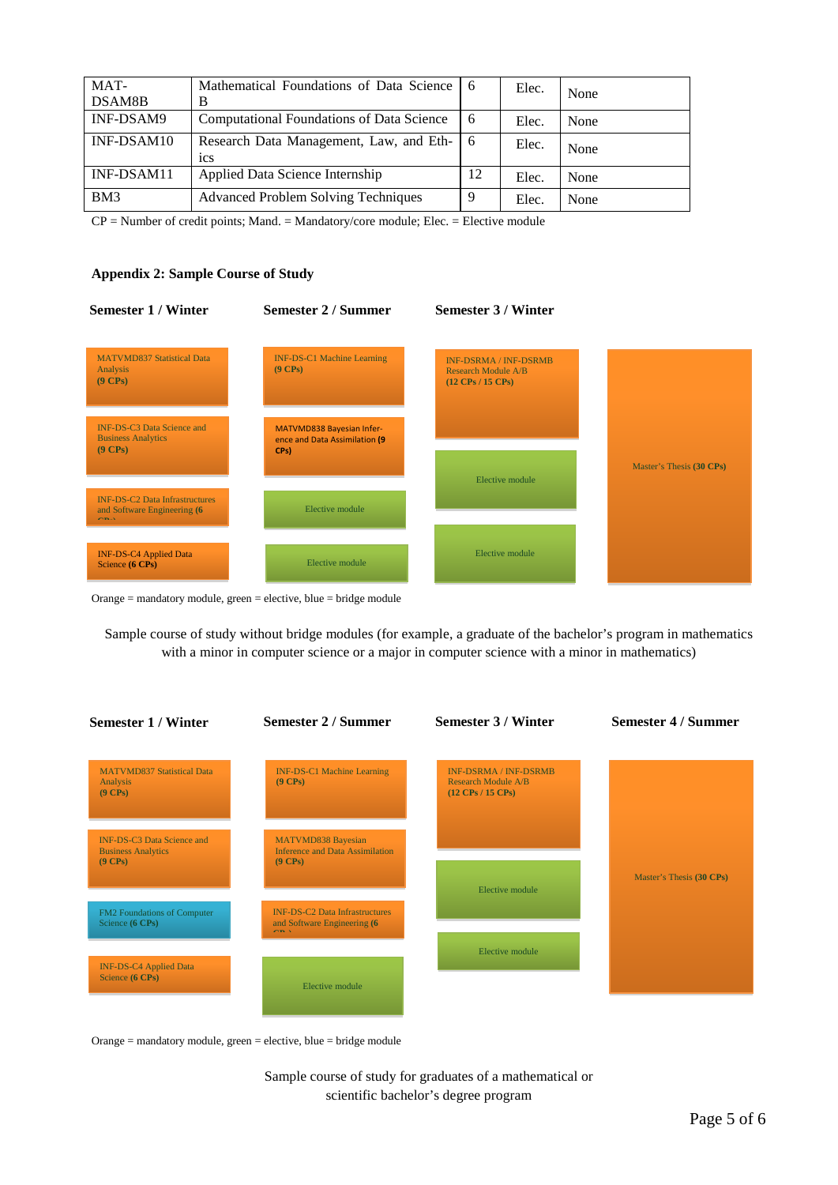| MAT-<br>DSAM8B | Mathematical Foundations of Data Science   6<br>B |    | Elec. | None |
|----------------|---------------------------------------------------|----|-------|------|
| INF-DSAM9      | Computational Foundations of Data Science         | 6  | Elec. | None |
| INF-DSAM10     | Research Data Management, Law, and Eth-<br>1CS    | -6 | Elec. | None |
| INF-DSAM11     | Applied Data Science Internship                   | 12 | Elec. | None |
| BM3            | <b>Advanced Problem Solving Techniques</b>        | 9  | Elec. | None |

CP = Number of credit points; Mand. = Mandatory/core module; Elec. = Elective module

## **Appendix 2: Sample Course of Study**



Orange = mandatory module, green = elective, blue = bridge module

Sample course of study without bridge modules (for example, a graduate of the bachelor's program in mathematics with a minor in computer science or a major in computer science with a minor in mathematics)



Orange = mandatory module, green = elective, blue = bridge module

Sample course of study for graduates of a mathematical or scientific bachelor's degree program